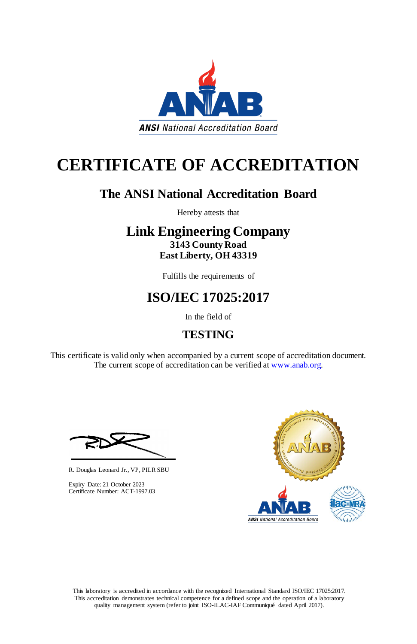This laboratory is accredited in accordance with the recognized International Standard ISO/IEC 17025:2017. This accreditation demonstrates technical competence for a defined scope and the operation of a laboratory quality management system (refer to joint ISO-ILAC-IAF Communiqué dated April 2017).

This certificate is valid only when accompanied by a current scope of accreditation document. The current scope of accreditation can be verified at [www.anab.org.](http://www.anab.org/)





# **CERTIFICATE OF ACCREDITATION**

### **The ANSI National Accreditation Board**

Hereby attests that

### **Link Engineering Company 3143 County Road East Liberty, OH 43319**

Fulfills the requirements of

## **ISO/IEC 17025:2017**

In the field of

### **TESTING**

R. Douglas Leonard Jr., VP, PILR SBU



Expiry Date: 21 October 2023 Certificate Number: ACT-1997.03